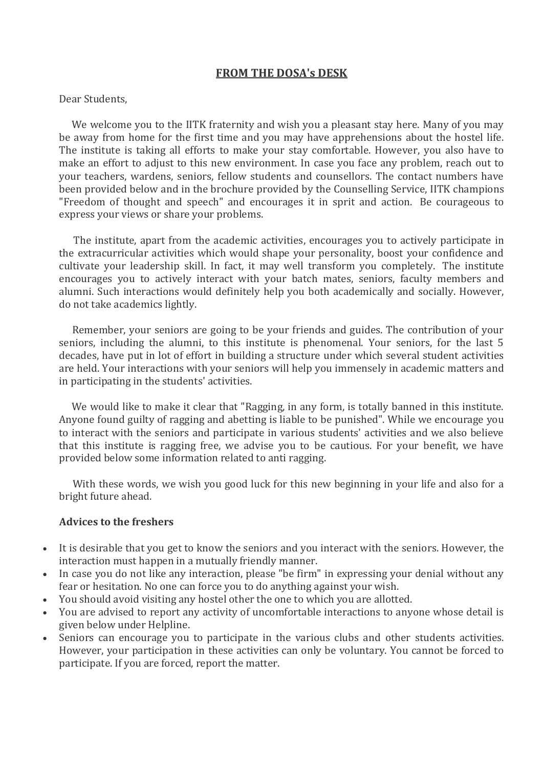## **FROM THE DOSA's DESK**

## Dear Students,

 We welcome you to the IITK fraternity and wish you a pleasant stay here. Many of you may be away from home for the first time and you may have apprehensions about the hostel life. The institute is taking all efforts to make your stay comfortable. However, you also have to make an effort to adjust to this new environment. In case you face any problem, reach out to your teachers, wardens, seniors, fellow students and counsellors. The contact numbers have been provided below and in the brochure provided by the Counselling Service, IITK champions "Freedom of thought and speech" and encourages it in sprit and action. Be courageous to express your views or share your problems.

 The institute, apart from the academic activities, encourages you to actively participate in the extracurricular activities which would shape your personality, boost your confidence and cultivate your leadership skill. In fact, it may well transform you completely. The institute encourages you to actively interact with your batch mates, seniors, faculty members and alumni. Such interactions would definitely help you both academically and socially. However, do not take academics lightly.

 Remember, your seniors are going to be your friends and guides. The contribution of your seniors, including the alumni, to this institute is phenomenal. Your seniors, for the last 5 decades, have put in lot of effort in building a structure under which several student activities are held. Your interactions with your seniors will help you immensely in academic matters and in participating in the students' activities.

 We would like to make it clear that "Ragging, in any form, is totally banned in this institute. Anyone found guilty of ragging and abetting is liable to be punished". While we encourage you to interact with the seniors and participate in various students' activities and we also believe that this institute is ragging free, we advise you to be cautious. For your benefit, we have provided below some information related to anti ragging.

 With these words, we wish you good luck for this new beginning in your life and also for a bright future ahead.

## **Advices to the freshers**

- It is desirable that you get to know the seniors and you interact with the seniors. However, the interaction must happen in a mutually friendly manner.
- In case you do not like any interaction, please "be firm" in expressing your denial without any fear or hesitation. No one can force you to do anything against your wish.
- You should avoid visiting any hostel other the one to which you are allotted.
- You are advised to report any activity of uncomfortable interactions to anyone whose detail is given below under Helpline.
- Seniors can encourage you to participate in the various clubs and other students activities. However, your participation in these activities can only be voluntary. You cannot be forced to participate. If you are forced, report the matter.